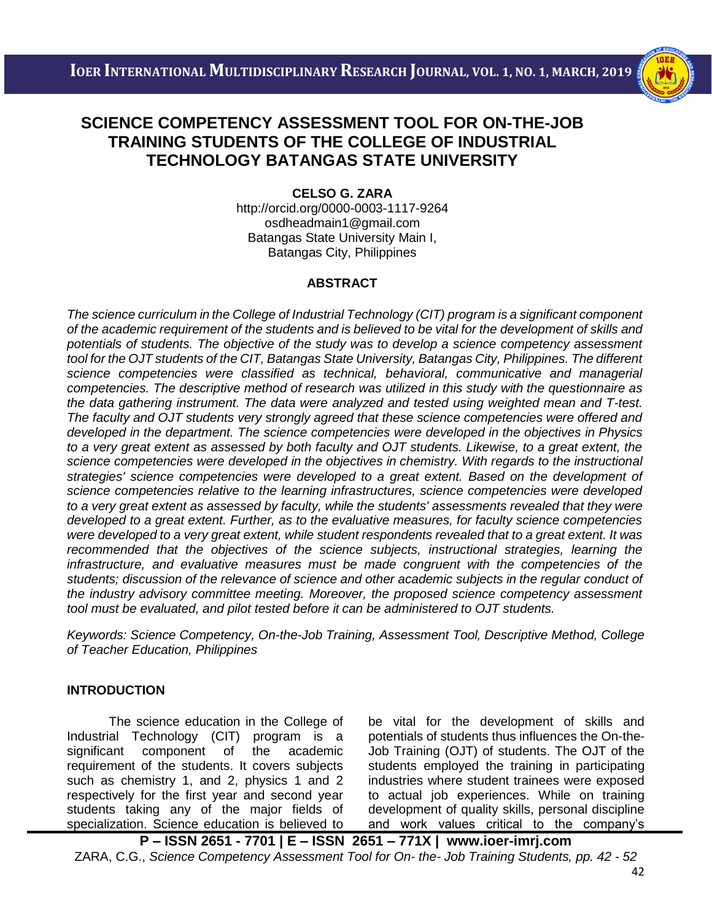i<br>I



#### **CELSO G. ZARA**

<http://orcid.org/0000-0003-1117-9264> [osdheadmain1@gmail.com](mailto:osdheadmain1@gmail.com) Batangas State University Main I, Batangas City, Philippines

#### **ABSTRACT**

*The science curriculum in the College of Industrial Technology (CIT) program is a significant component of the academic requirement of the students and is believed to be vital for the development of skills and potentials of students. The objective of the study was to develop a science competency assessment tool for the OJT students of the CIT, Batangas State University, Batangas City, Philippines. The different science competencies were classified as technical, behavioral, communicative and managerial competencies. The descriptive method of research was utilized in this study with the questionnaire as the data gathering instrument. The data were analyzed and tested using weighted mean and T-test. The faculty and OJT students very strongly agreed that these science competencies were offered and developed in the department. The science competencies were developed in the objectives in Physics to a very great extent as assessed by both faculty and OJT students. Likewise, to a great extent, the science competencies were developed in the objectives in chemistry. With regards to the instructional strategies' science competencies were developed to a great extent. Based on the development of science competencies relative to the learning infrastructures, science competencies were developed to a very great extent as assessed by faculty, while the students' assessments revealed that they were developed to a great extent. Further, as to the evaluative measures, for faculty science competencies were developed to a very great extent, while student respondents revealed that to a great extent. It was recommended that the objectives of the science subjects, instructional strategies, learning the infrastructure, and evaluative measures must be made congruent with the competencies of the students; discussion of the relevance of science and other academic subjects in the regular conduct of the industry advisory committee meeting. Moreover, the proposed science competency assessment tool must be evaluated, and pilot tested before it can be administered to OJT students.*

*Keywords: Science Competency, On-the-Job Training, Assessment Tool, Descriptive Method, College of Teacher Education, Philippines*

### **INTRODUCTION**

The science education in the College of Industrial Technology (CIT) program is a significant component of the academic requirement of the students. It covers subjects such as chemistry 1, and 2, physics 1 and 2 respectively for the first year and second year students taking any of the major fields of specialization. Science education is believed to

be vital for the development of skills and potentials of students thus influences the On-the-Job Training (OJT) of students. The OJT of the students employed the training in participating industries where student trainees were exposed to actual job experiences. While on training development of quality skills, personal discipline and work values critical to the company's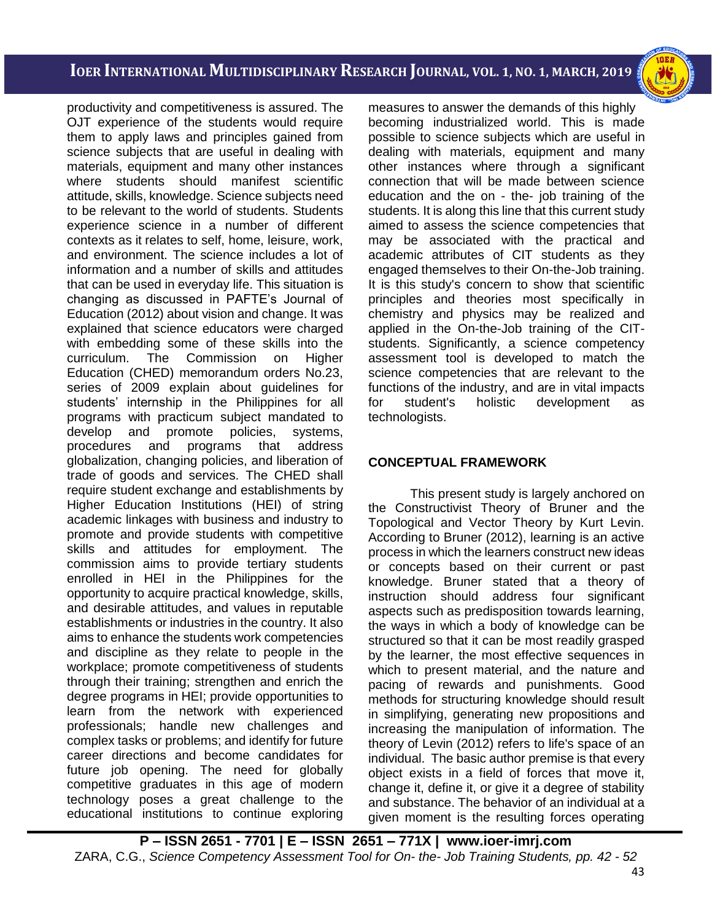i<br>I

productivity and competitiveness is assured. The OJT experience of the students would require them to apply laws and principles gained from science subjects that are useful in dealing with materials, equipment and many other instances where students should manifest scientific attitude, skills, knowledge. Science subjects need to be relevant to the world of students. Students experience science in a number of different contexts as it relates to self, home, leisure, work, and environment. The science includes a lot of information and a number of skills and attitudes that can be used in everyday life. This situation is changing as discussed in PAFTE's Journal of Education (2012) about vision and change. It was explained that science educators were charged with embedding some of these skills into the curriculum. The Commission on Higher Education (CHED) memorandum orders No.23, series of 2009 explain about guidelines for students' internship in the Philippines for all programs with practicum subject mandated to develop and promote policies, systems, procedures and programs that address globalization, changing policies, and liberation of trade of goods and services. The CHED shall require student exchange and establishments by Higher Education Institutions (HEI) of string academic linkages with business and industry to promote and provide students with competitive skills and attitudes for employment. The commission aims to provide tertiary students enrolled in HEI in the Philippines for the opportunity to acquire practical knowledge, skills, and desirable attitudes, and values in reputable establishments or industries in the country. It also aims to enhance the students work competencies and discipline as they relate to people in the workplace; promote competitiveness of students through their training; strengthen and enrich the degree programs in HEI; provide opportunities to learn from the network with experienced professionals; handle new challenges and complex tasks or problems; and identify for future career directions and become candidates for future job opening. The need for globally competitive graduates in this age of modern technology poses a great challenge to the educational institutions to continue exploring

measures to answer the demands of this highly becoming industrialized world. This is made possible to science subjects which are useful in dealing with materials, equipment and many other instances where through a significant connection that will be made between science education and the on - the- job training of the students. It is along this line that this current study aimed to assess the science competencies that may be associated with the practical and academic attributes of CIT students as they engaged themselves to their On-the-Job training. It is this study's concern to show that scientific principles and theories most specifically in chemistry and physics may be realized and applied in the On-the-Job training of the CITstudents. Significantly, a science competency assessment tool is developed to match the science competencies that are relevant to the functions of the industry, and are in vital impacts for student's holistic development as technologists.

### **CONCEPTUAL FRAMEWORK**

This present study is largely anchored on the Constructivist Theory of Bruner and the Topological and Vector Theory by Kurt Levin. According to Bruner (2012), learning is an active process in which the learners construct new ideas or concepts based on their current or past knowledge. Bruner stated that a theory of instruction should address four significant aspects such as predisposition towards learning, the ways in which a body of knowledge can be structured so that it can be most readily grasped by the learner, the most effective sequences in which to present material, and the nature and pacing of rewards and punishments. Good methods for structuring knowledge should result in simplifying, generating new propositions and increasing the manipulation of information. The theory of Levin (2012) refers to life's space of an individual. The basic author premise is that every object exists in a field of forces that move it, change it, define it, or give it a degree of stability and substance. The behavior of an individual at a given moment is the resulting forces operating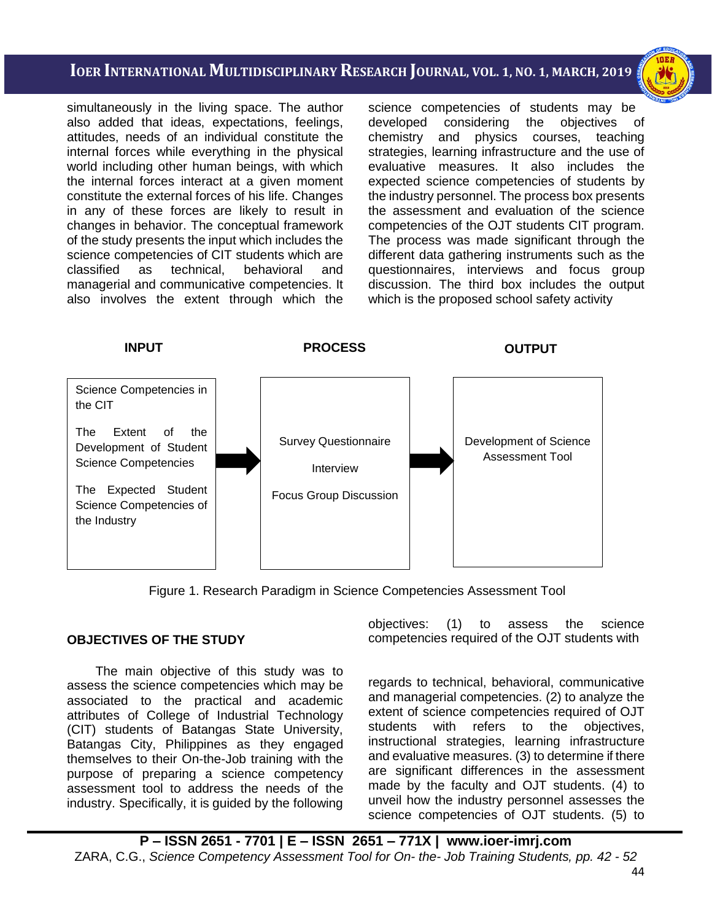i<br>I

simultaneously in the living space. The author also added that ideas, expectations, feelings, attitudes, needs of an individual constitute the internal forces while everything in the physical world including other human beings, with which the internal forces interact at a given moment constitute the external forces of his life. Changes in any of these forces are likely to result in changes in behavior. The conceptual framework of the study presents the input which includes the science competencies of CIT students which are classified as technical, behavioral and managerial and communicative competencies. It also involves the extent through which the

science competencies of students may be developed considering the objectives of chemistry and physics courses, teaching strategies, learning infrastructure and the use of evaluative measures. It also includes the expected science competencies of students by the industry personnel. The process box presents the assessment and evaluation of the science competencies of the OJT students CIT program. The process was made significant through the different data gathering instruments such as the questionnaires, interviews and focus group discussion. The third box includes the output which is the proposed school safety activity



Figure 1. Research Paradigm in Science Competencies Assessment Tool

#### **OBJECTIVES OF THE STUDY**

 The main objective of this study was to assess the science competencies which may be associated to the practical and academic attributes of College of Industrial Technology (CIT) students of Batangas State University, Batangas City, Philippines as they engaged themselves to their On-the-Job training with the purpose of preparing a science competency assessment tool to address the needs of the industry. Specifically, it is guided by the following

objectives: (1) to assess the science competencies required of the OJT students with

regards to technical, behavioral, communicative and managerial competencies. (2) to analyze the extent of science competencies required of OJT students with refers to the objectives, instructional strategies, learning infrastructure and evaluative measures. (3) to determine if there are significant differences in the assessment made by the faculty and OJT students. (4) to unveil how the industry personnel assesses the science competencies of OJT students. (5) to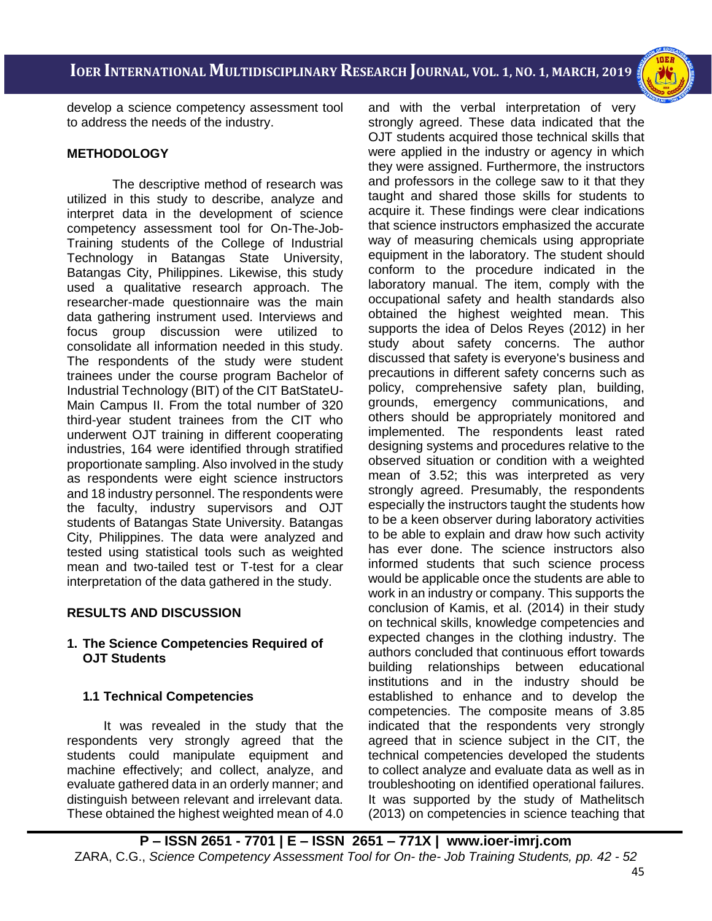i<br>I

develop a science competency assessment tool to address the needs of the industry.

## **METHODOLOGY**

The descriptive method of research was utilized in this study to describe, analyze and interpret data in the development of science competency assessment tool for On-The-Job-Training students of the College of Industrial Technology in Batangas State University, Batangas City, Philippines. Likewise, this study used a qualitative research approach. The researcher-made questionnaire was the main data gathering instrument used. Interviews and focus group discussion were utilized to consolidate all information needed in this study. The respondents of the study were student trainees under the course program Bachelor of Industrial Technology (BIT) of the CIT BatStateU-Main Campus II. From the total number of 320 third-year student trainees from the CIT who underwent OJT training in different cooperating industries, 164 were identified through stratified proportionate sampling. Also involved in the study as respondents were eight science instructors and 18 industry personnel. The respondents were the faculty, industry supervisors and OJT students of Batangas State University. Batangas City, Philippines. The data were analyzed and tested using statistical tools such as weighted mean and two-tailed test or T-test for a clear interpretation of the data gathered in the study.

## **RESULTS AND DISCUSSION**

## **1. The Science Competencies Required of OJT Students**

## **1.1 Technical Competencies**

It was revealed in the study that the respondents very strongly agreed that the students could manipulate equipment and machine effectively; and collect, analyze, and evaluate gathered data in an orderly manner; and distinguish between relevant and irrelevant data. These obtained the highest weighted mean of 4.0 and with the verbal interpretation of very strongly agreed. These data indicated that the OJT students acquired those technical skills that were applied in the industry or agency in which they were assigned. Furthermore, the instructors and professors in the college saw to it that they taught and shared those skills for students to acquire it. These findings were clear indications that science instructors emphasized the accurate way of measuring chemicals using appropriate equipment in the laboratory. The student should conform to the procedure indicated in the laboratory manual. The item, comply with the occupational safety and health standards also obtained the highest weighted mean. This supports the idea of Delos Reyes (2012) in her study about safety concerns. The author discussed that safety is everyone's business and precautions in different safety concerns such as policy, comprehensive safety plan, building, grounds, emergency communications, and others should be appropriately monitored and implemented. The respondents least rated designing systems and procedures relative to the observed situation or condition with a weighted mean of 3.52; this was interpreted as very strongly agreed. Presumably, the respondents especially the instructors taught the students how to be a keen observer during laboratory activities to be able to explain and draw how such activity has ever done. The science instructors also informed students that such science process would be applicable once the students are able to work in an industry or company. This supports the conclusion of Kamis, et al. (2014) in their study on technical skills, knowledge competencies and expected changes in the clothing industry. The authors concluded that continuous effort towards building relationships between educational institutions and in the industry should be established to enhance and to develop the competencies. The composite means of 3.85 indicated that the respondents very strongly agreed that in science subject in the CIT, the technical competencies developed the students to collect analyze and evaluate data as well as in troubleshooting on identified operational failures. It was supported by the study of Mathelitsch (2013) on competencies in science teaching that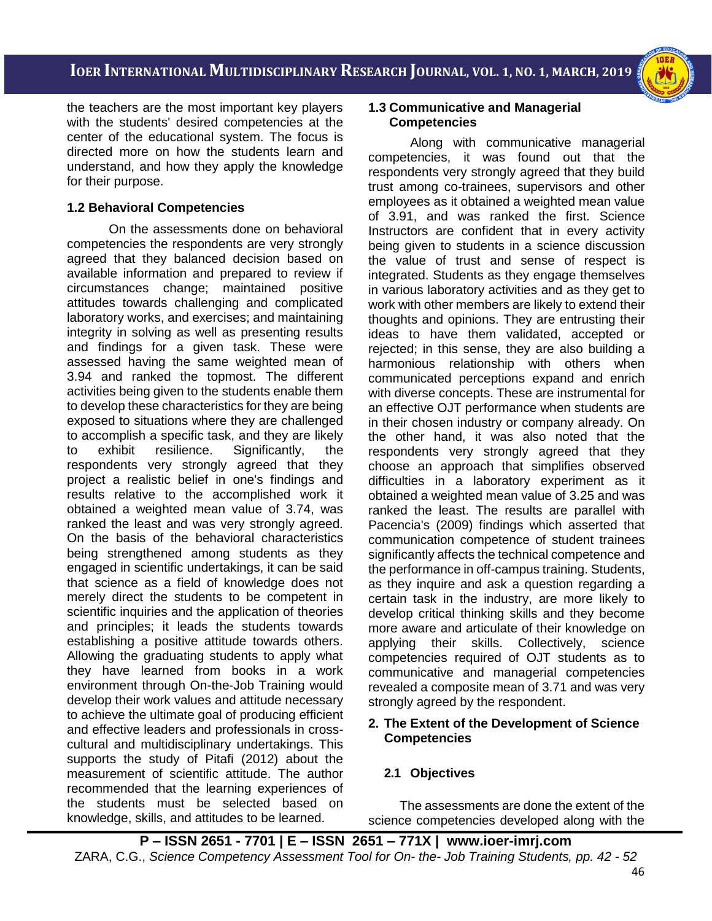i<br>I



the teachers are the most important key players with the students' desired competencies at the center of the educational system. The focus is directed more on how the students learn and understand, and how they apply the knowledge for their purpose.

### **1.2 Behavioral Competencies**

 On the assessments done on behavioral competencies the respondents are very strongly agreed that they balanced decision based on available information and prepared to review if circumstances change; maintained positive attitudes towards challenging and complicated laboratory works, and exercises; and maintaining integrity in solving as well as presenting results and findings for a given task. These were assessed having the same weighted mean of 3.94 and ranked the topmost. The different activities being given to the students enable them to develop these characteristics for they are being exposed to situations where they are challenged to accomplish a specific task, and they are likely to exhibit resilience. Significantly, the respondents very strongly agreed that they project a realistic belief in one's findings and results relative to the accomplished work it obtained a weighted mean value of 3.74, was ranked the least and was very strongly agreed. On the basis of the behavioral characteristics being strengthened among students as they engaged in scientific undertakings, it can be said that science as a field of knowledge does not merely direct the students to be competent in scientific inquiries and the application of theories and principles; it leads the students towards establishing a positive attitude towards others. Allowing the graduating students to apply what they have learned from books in a work environment through On-the-Job Training would develop their work values and attitude necessary to achieve the ultimate goal of producing efficient and effective leaders and professionals in crosscultural and multidisciplinary undertakings. This supports the study of Pitafi (2012) about the measurement of scientific attitude. The author recommended that the learning experiences of the students must be selected based on knowledge, skills, and attitudes to be learned.

### **1.3 Communicative and Managerial Competencies**

Along with communicative managerial competencies, it was found out that the respondents very strongly agreed that they build trust among co-trainees, supervisors and other employees as it obtained a weighted mean value of 3.91, and was ranked the first. Science Instructors are confident that in every activity being given to students in a science discussion the value of trust and sense of respect is integrated. Students as they engage themselves in various laboratory activities and as they get to work with other members are likely to extend their thoughts and opinions. They are entrusting their ideas to have them validated, accepted or rejected; in this sense, they are also building a harmonious relationship with others when communicated perceptions expand and enrich with diverse concepts. These are instrumental for an effective OJT performance when students are in their chosen industry or company already. On the other hand, it was also noted that the respondents very strongly agreed that they choose an approach that simplifies observed difficulties in a laboratory experiment as it obtained a weighted mean value of 3.25 and was ranked the least. The results are parallel with Pacencia's (2009) findings which asserted that communication competence of student trainees significantly affects the technical competence and the performance in off-campus training. Students, as they inquire and ask a question regarding a certain task in the industry, are more likely to develop critical thinking skills and they become more aware and articulate of their knowledge on applying their skills. Collectively, science competencies required of OJT students as to communicative and managerial competencies revealed a composite mean of 3.71 and was very strongly agreed by the respondent.

### **2. The Extent of the Development of Science Competencies**

## **2.1 Objectives**

The assessments are done the extent of the science competencies developed along with the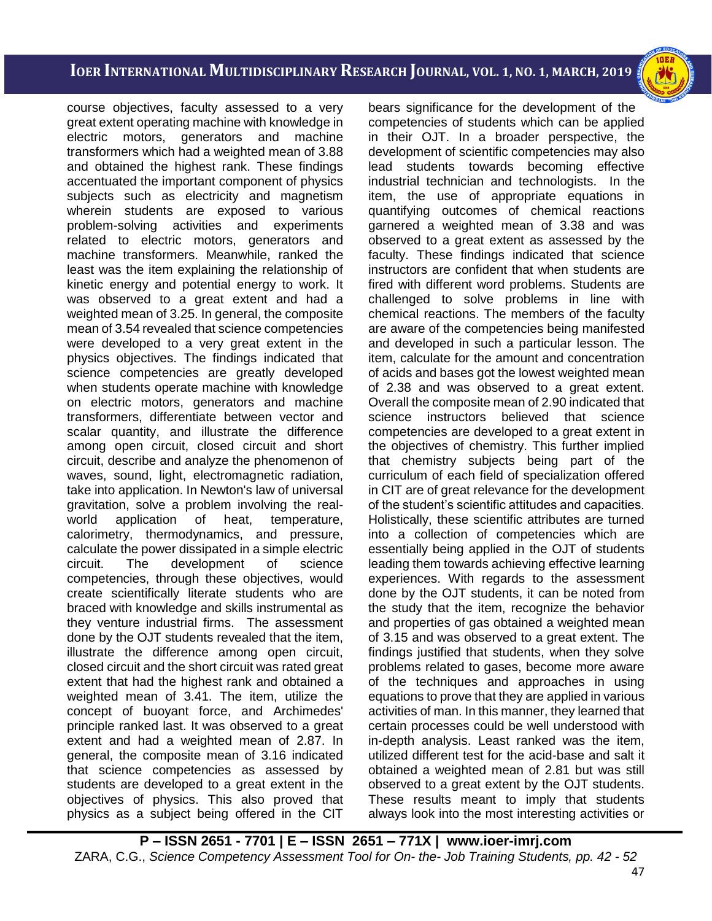i<br>I

course objectives, faculty assessed to a very great extent operating machine with knowledge in electric motors, generators and machine transformers which had a weighted mean of 3.88 and obtained the highest rank. These findings accentuated the important component of physics subjects such as electricity and magnetism wherein students are exposed to various problem-solving activities and experiments related to electric motors, generators and machine transformers. Meanwhile, ranked the least was the item explaining the relationship of kinetic energy and potential energy to work. It was observed to a great extent and had a weighted mean of 3.25. In general, the composite mean of 3.54 revealed that science competencies were developed to a very great extent in the physics objectives. The findings indicated that science competencies are greatly developed when students operate machine with knowledge on electric motors, generators and machine transformers, differentiate between vector and scalar quantity, and illustrate the difference among open circuit, closed circuit and short circuit, describe and analyze the phenomenon of waves, sound, light, electromagnetic radiation, take into application. In Newton's law of universal gravitation, solve a problem involving the realworld application of heat, temperature, calorimetry, thermodynamics, and pressure, calculate the power dissipated in a simple electric circuit. The development of science competencies, through these objectives, would create scientifically literate students who are braced with knowledge and skills instrumental as they venture industrial firms. The assessment done by the OJT students revealed that the item, illustrate the difference among open circuit, closed circuit and the short circuit was rated great extent that had the highest rank and obtained a weighted mean of 3.41. The item, utilize the concept of buoyant force, and Archimedes' principle ranked last. It was observed to a great extent and had a weighted mean of 2.87. In general, the composite mean of 3.16 indicated that science competencies as assessed by students are developed to a great extent in the objectives of physics. This also proved that physics as a subject being offered in the CIT

bears significance for the development of the competencies of students which can be applied in their OJT. In a broader perspective, the development of scientific competencies may also lead students towards becoming effective industrial technician and technologists. In the item, the use of appropriate equations in quantifying outcomes of chemical reactions garnered a weighted mean of 3.38 and was observed to a great extent as assessed by the faculty. These findings indicated that science instructors are confident that when students are fired with different word problems. Students are challenged to solve problems in line with chemical reactions. The members of the faculty are aware of the competencies being manifested and developed in such a particular lesson. The item, calculate for the amount and concentration of acids and bases got the lowest weighted mean of 2.38 and was observed to a great extent. Overall the composite mean of 2.90 indicated that science instructors believed that science competencies are developed to a great extent in the objectives of chemistry. This further implied that chemistry subjects being part of the curriculum of each field of specialization offered in CIT are of great relevance for the development of the student's scientific attitudes and capacities. Holistically, these scientific attributes are turned into a collection of competencies which are essentially being applied in the OJT of students leading them towards achieving effective learning experiences. With regards to the assessment done by the OJT students, it can be noted from the study that the item, recognize the behavior and properties of gas obtained a weighted mean of 3.15 and was observed to a great extent. The findings justified that students, when they solve problems related to gases, become more aware of the techniques and approaches in using equations to prove that they are applied in various activities of man. In this manner, they learned that certain processes could be well understood with in-depth analysis. Least ranked was the item, utilized different test for the acid-base and salt it obtained a weighted mean of 2.81 but was still observed to a great extent by the OJT students. These results meant to imply that students always look into the most interesting activities or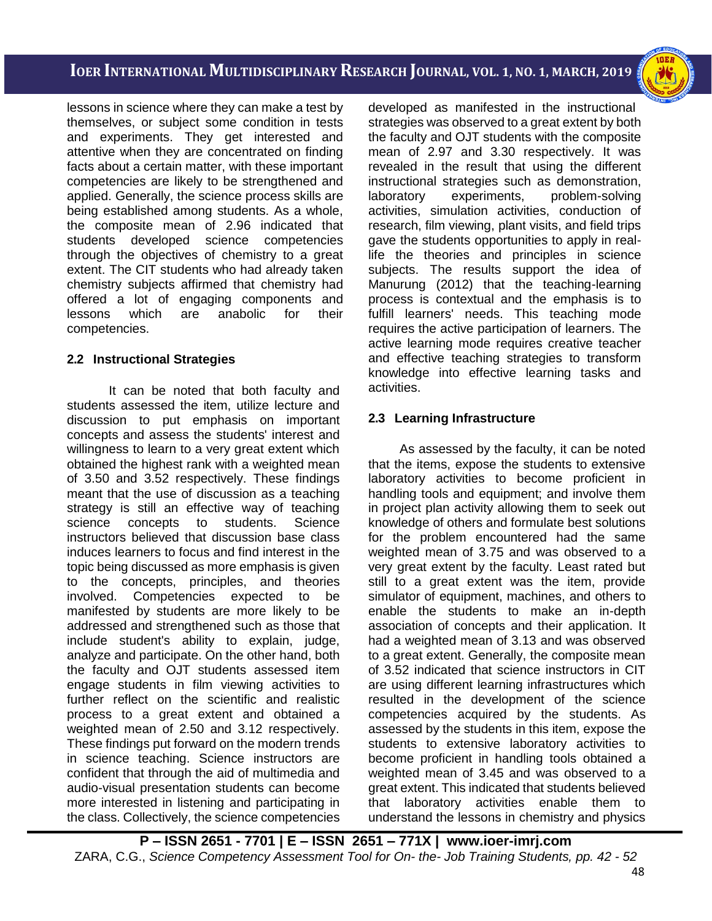i<br>I

lessons in science where they can make a test by themselves, or subject some condition in tests and experiments. They get interested and attentive when they are concentrated on finding facts about a certain matter, with these important competencies are likely to be strengthened and applied. Generally, the science process skills are being established among students. As a whole, the composite mean of 2.96 indicated that students developed science competencies through the objectives of chemistry to a great extent. The CIT students who had already taken chemistry subjects affirmed that chemistry had offered a lot of engaging components and lessons which are anabolic for their competencies.

### **2.2 Instructional Strategies**

It can be noted that both faculty and students assessed the item, utilize lecture and discussion to put emphasis on important concepts and assess the students' interest and willingness to learn to a very great extent which obtained the highest rank with a weighted mean of 3.50 and 3.52 respectively. These findings meant that the use of discussion as a teaching strategy is still an effective way of teaching science concepts to students. Science instructors believed that discussion base class induces learners to focus and find interest in the topic being discussed as more emphasis is given to the concepts, principles, and theories involved. Competencies expected to be manifested by students are more likely to be addressed and strengthened such as those that include student's ability to explain, judge, analyze and participate. On the other hand, both the faculty and OJT students assessed item engage students in film viewing activities to further reflect on the scientific and realistic process to a great extent and obtained a weighted mean of 2.50 and 3.12 respectively. These findings put forward on the modern trends in science teaching. Science instructors are confident that through the aid of multimedia and audio-visual presentation students can become more interested in listening and participating in the class. Collectively, the science competencies developed as manifested in the instructional strategies was observed to a great extent by both the faculty and OJT students with the composite mean of 2.97 and 3.30 respectively. It was revealed in the result that using the different instructional strategies such as demonstration, laboratory experiments, problem-solving activities, simulation activities, conduction of research, film viewing, plant visits, and field trips gave the students opportunities to apply in reallife the theories and principles in science subjects. The results support the idea of Manurung (2012) that the teaching-learning process is contextual and the emphasis is to fulfill learners' needs. This teaching mode requires the active participation of learners. The active learning mode requires creative teacher and effective teaching strategies to transform knowledge into effective learning tasks and activities.

### **2.3 Learning Infrastructure**

As assessed by the faculty, it can be noted that the items, expose the students to extensive laboratory activities to become proficient in handling tools and equipment; and involve them in project plan activity allowing them to seek out knowledge of others and formulate best solutions for the problem encountered had the same weighted mean of 3.75 and was observed to a very great extent by the faculty. Least rated but still to a great extent was the item, provide simulator of equipment, machines, and others to enable the students to make an in-depth association of concepts and their application. It had a weighted mean of 3.13 and was observed to a great extent. Generally, the composite mean of 3.52 indicated that science instructors in CIT are using different learning infrastructures which resulted in the development of the science competencies acquired by the students. As assessed by the students in this item, expose the students to extensive laboratory activities to become proficient in handling tools obtained a weighted mean of 3.45 and was observed to a great extent. This indicated that students believed that laboratory activities enable them to understand the lessons in chemistry and physics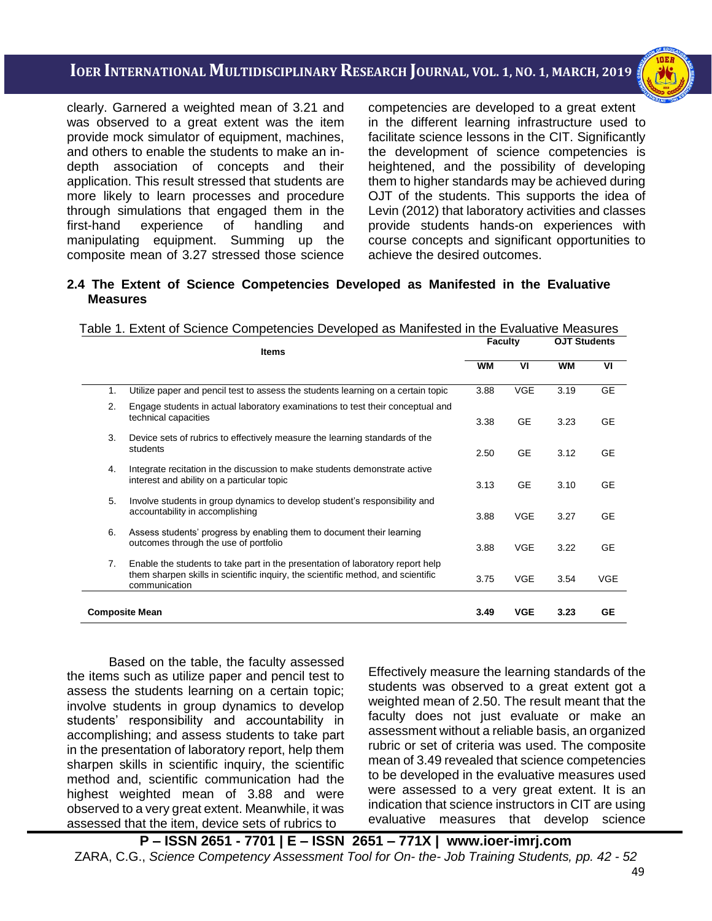i<br>I

clearly. Garnered a weighted mean of 3.21 and was observed to a great extent was the item provide mock simulator of equipment, machines, and others to enable the students to make an indepth association of concepts and their application. This result stressed that students are more likely to learn processes and procedure through simulations that engaged them in the first-hand experience of handling and manipulating equipment. Summing up the composite mean of 3.27 stressed those science

competencies are developed to a great extent in the different learning infrastructure used to facilitate science lessons in the CIT. Significantly the development of science competencies is heightened, and the possibility of developing them to higher standards may be achieved during OJT of the students. This supports the idea of Levin (2012) that laboratory activities and classes provide students hands-on experiences with course concepts and significant opportunities to achieve the desired outcomes.

#### **2.4 The Extent of Science Competencies Developed as Manifested in the Evaluative Measures**

|                       | <b>Items</b>                                                                                                                                                                        | <b>Faculty</b> |            | <b>OJT Students</b> |            |
|-----------------------|-------------------------------------------------------------------------------------------------------------------------------------------------------------------------------------|----------------|------------|---------------------|------------|
|                       |                                                                                                                                                                                     | <b>WM</b>      | VI         | <b>WM</b>           | VI         |
| 1.                    | Utilize paper and pencil test to assess the students learning on a certain topic                                                                                                    | 3.88           | <b>VGE</b> | 3.19                | <b>GE</b>  |
| 2.                    | Engage students in actual laboratory examinations to test their conceptual and<br>technical capacities                                                                              | 3.38           | <b>GE</b>  | 3.23                | <b>GE</b>  |
| 3.                    | Device sets of rubrics to effectively measure the learning standards of the<br>students                                                                                             | 2.50           | <b>GE</b>  | 3.12                | <b>GE</b>  |
| 4.                    | Integrate recitation in the discussion to make students demonstrate active<br>interest and ability on a particular topic                                                            | 3.13           | <b>GE</b>  | 3.10                | <b>GE</b>  |
| 5.                    | Involve students in group dynamics to develop student's responsibility and<br>accountability in accomplishing                                                                       | 3.88           | <b>VGE</b> | 3.27                | <b>GE</b>  |
| 6.                    | Assess students' progress by enabling them to document their learning<br>outcomes through the use of portfolio                                                                      | 3.88           | <b>VGE</b> | 3.22                | <b>GE</b>  |
| 7.                    | Enable the students to take part in the presentation of laboratory report help<br>them sharpen skills in scientific inquiry, the scientific method, and scientific<br>communication | 3.75           | <b>VGE</b> | 3.54                | <b>VGE</b> |
| <b>Composite Mean</b> |                                                                                                                                                                                     | 3.49           | <b>VGE</b> | 3.23                | <b>GE</b>  |

Table 1. Extent of Science Competencies Developed as Manifested in the Evaluative Measures

Based on the table, the faculty assessed the items such as utilize paper and pencil test to assess the students learning on a certain topic; involve students in group dynamics to develop students' responsibility and accountability in accomplishing; and assess students to take part in the presentation of laboratory report, help them sharpen skills in scientific inquiry, the scientific method and, scientific communication had the highest weighted mean of 3.88 and were observed to a very great extent. Meanwhile, it was assessed that the item, device sets of rubrics to

Effectively measure the learning standards of the students was observed to a great extent got a weighted mean of 2.50. The result meant that the faculty does not just evaluate or make an assessment without a reliable basis, an organized rubric or set of criteria was used. The composite mean of 3.49 revealed that science competencies to be developed in the evaluative measures used were assessed to a very great extent. It is an indication that science instructors in CIT are using evaluative measures that develop science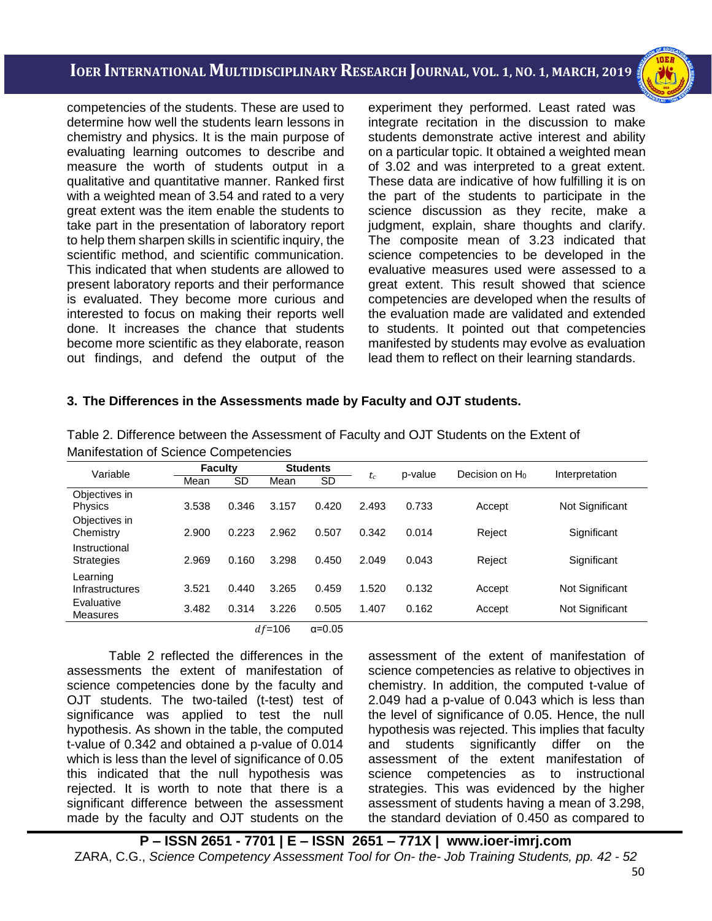i<br>I

competencies of the students. These are used to determine how well the students learn lessons in chemistry and physics. It is the main purpose of evaluating learning outcomes to describe and measure the worth of students output in a qualitative and quantitative manner. Ranked first with a weighted mean of 3.54 and rated to a very great extent was the item enable the students to take part in the presentation of laboratory report to help them sharpen skills in scientific inquiry, the scientific method, and scientific communication. This indicated that when students are allowed to present laboratory reports and their performance is evaluated. They become more curious and interested to focus on making their reports well done. It increases the chance that students become more scientific as they elaborate, reason out findings, and defend the output of the

experiment they performed. Least rated was integrate recitation in the discussion to make students demonstrate active interest and ability on a particular topic. It obtained a weighted mean of 3.02 and was interpreted to a great extent. These data are indicative of how fulfilling it is on the part of the students to participate in the science discussion as they recite, make a judgment, explain, share thoughts and clarify. The composite mean of 3.23 indicated that science competencies to be developed in the evaluative measures used were assessed to a great extent. This result showed that science competencies are developed when the results of the evaluation made are validated and extended to students. It pointed out that competencies manifested by students may evolve as evaluation lead them to reflect on their learning standards.

#### **3. The Differences in the Assessments made by Faculty and OJT students.**

| Mannestation of Science Competencies      |                |       |                 |       |       |         |                            |                 |  |  |  |
|-------------------------------------------|----------------|-------|-----------------|-------|-------|---------|----------------------------|-----------------|--|--|--|
| Variable                                  | <b>Faculty</b> |       | <b>Students</b> |       | $t_c$ | p-value | Decision on H <sub>0</sub> | Interpretation  |  |  |  |
|                                           | Mean           | SD    | Mean            | SD    |       |         |                            |                 |  |  |  |
| Objectives in<br><b>Physics</b>           | 3.538          | 0.346 | 3.157           | 0.420 | 2.493 | 0.733   | Accept                     | Not Significant |  |  |  |
| Objectives in<br>Chemistry                | 2.900          | 0.223 | 2.962           | 0.507 | 0.342 | 0.014   | Reject                     | Significant     |  |  |  |
| Instructional<br><b>Strategies</b>        | 2.969          | 0.160 | 3.298           | 0.450 | 2.049 | 0.043   | Reject                     | Significant     |  |  |  |
| Learning<br>Infrastructures<br>Evaluative | 3.521          | 0.440 | 3.265           | 0.459 | 1.520 | 0.132   | Accept                     | Not Significant |  |  |  |
| Measures                                  | 3.482          | 0.314 | 3.226           | 0.505 | 1.407 | 0.162   | Accept                     | Not Significant |  |  |  |

Table 2. Difference between the Assessment of Faculty and OJT Students on the Extent of Manifestation of Science Competencies

 $df = 106$  α=0.05

Table 2 reflected the differences in the assessments the extent of manifestation of science competencies done by the faculty and OJT students. The two-tailed (t-test) test of significance was applied to test the null hypothesis. As shown in the table, the computed t-value of 0.342 and obtained a p-value of 0.014 which is less than the level of significance of 0.05 this indicated that the null hypothesis was rejected. It is worth to note that there is a significant difference between the assessment made by the faculty and OJT students on the assessment of the extent of manifestation of science competencies as relative to objectives in chemistry. In addition, the computed t-value of 2.049 had a p-value of 0.043 which is less than the level of significance of 0.05. Hence, the null hypothesis was rejected. This implies that faculty and students significantly differ on the assessment of the extent manifestation of science competencies as to instructional strategies. This was evidenced by the higher assessment of students having a mean of 3.298, the standard deviation of 0.450 as compared to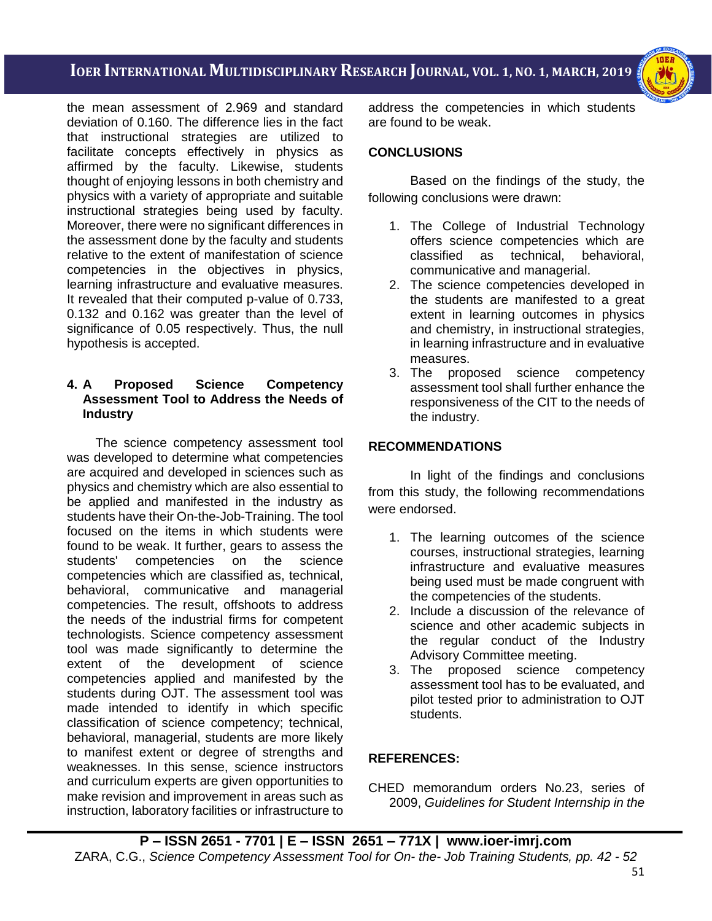i<br>I

the mean assessment of 2.969 and standard deviation of 0.160. The difference lies in the fact that instructional strategies are utilized to facilitate concepts effectively in physics as affirmed by the faculty. Likewise, students thought of enjoying lessons in both chemistry and physics with a variety of appropriate and suitable instructional strategies being used by faculty. Moreover, there were no significant differences in the assessment done by the faculty and students relative to the extent of manifestation of science competencies in the objectives in physics, learning infrastructure and evaluative measures. It revealed that their computed p-value of 0.733, 0.132 and 0.162 was greater than the level of significance of 0.05 respectively. Thus, the null hypothesis is accepted.

#### **4. A Proposed Science Competency Assessment Tool to Address the Needs of Industry**

 The science competency assessment tool was developed to determine what competencies are acquired and developed in sciences such as physics and chemistry which are also essential to be applied and manifested in the industry as students have their On-the-Job-Training. The tool focused on the items in which students were found to be weak. It further, gears to assess the students' competencies on the science competencies which are classified as, technical, behavioral, communicative and managerial competencies. The result, offshoots to address the needs of the industrial firms for competent technologists. Science competency assessment tool was made significantly to determine the extent of the development of science competencies applied and manifested by the students during OJT. The assessment tool was made intended to identify in which specific classification of science competency; technical, behavioral, managerial, students are more likely to manifest extent or degree of strengths and weaknesses. In this sense, science instructors and curriculum experts are given opportunities to make revision and improvement in areas such as instruction, laboratory facilities or infrastructure to address the competencies in which students are found to be weak.

# **CONCLUSIONS**

Based on the findings of the study, the following conclusions were drawn:

- 1. The College of Industrial Technology offers science competencies which are classified as technical, behavioral, communicative and managerial.
- 2. The science competencies developed in the students are manifested to a great extent in learning outcomes in physics and chemistry, in instructional strategies, in learning infrastructure and in evaluative measures.
- 3. The proposed science competency assessment tool shall further enhance the responsiveness of the CIT to the needs of the industry.

# **RECOMMENDATIONS**

In light of the findings and conclusions from this study, the following recommendations were endorsed.

- 1. The learning outcomes of the science courses, instructional strategies, learning infrastructure and evaluative measures being used must be made congruent with the competencies of the students.
- 2. Include a discussion of the relevance of science and other academic subjects in the regular conduct of the Industry Advisory Committee meeting.<br>3. The proposed science
- science competency assessment tool has to be evaluated, and pilot tested prior to administration to OJT students.

# **REFERENCES:**

CHED memorandum orders No.23, series of 2009, *Guidelines for Student Internship in the*